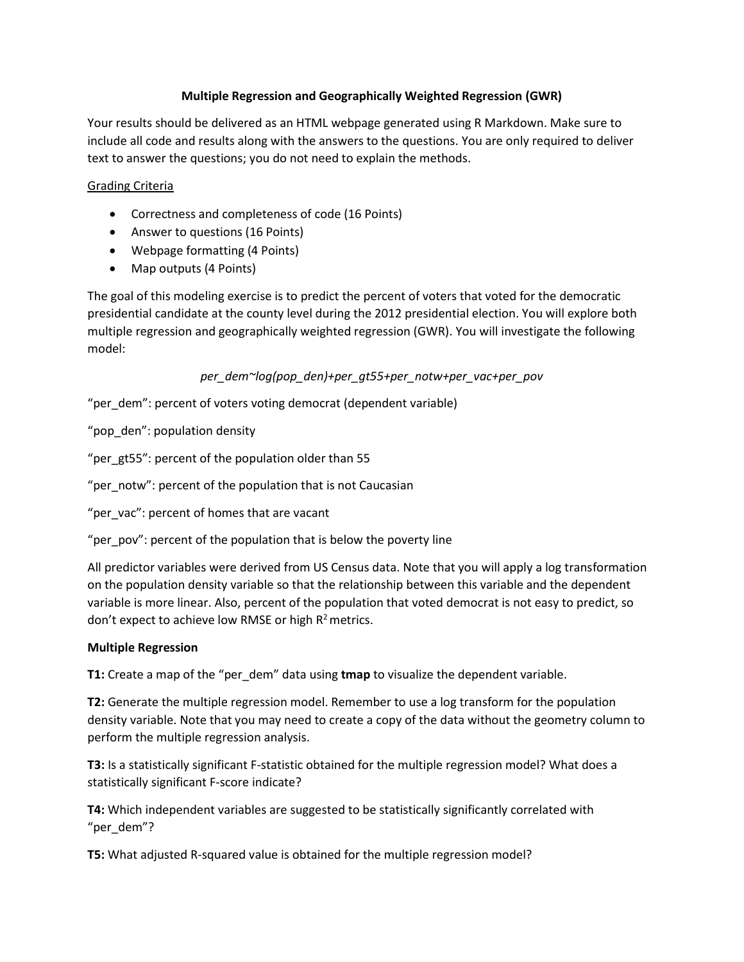## **Multiple Regression and Geographically Weighted Regression (GWR)**

Your results should be delivered as an HTML webpage generated using R Markdown. Make sure to include all code and results along with the answers to the questions. You are only required to deliver text to answer the questions; you do not need to explain the methods.

## Grading Criteria

- Correctness and completeness of code (16 Points)
- Answer to questions (16 Points)
- Webpage formatting (4 Points)
- Map outputs (4 Points)

The goal of this modeling exercise is to predict the percent of voters that voted for the democratic presidential candidate at the county level during the 2012 presidential election. You will explore both multiple regression and geographically weighted regression (GWR). You will investigate the following model:

*per\_dem~log(pop\_den)+per\_gt55+per\_notw+per\_vac+per\_pov*

"per\_dem": percent of voters voting democrat (dependent variable)

"pop\_den": population density

"per\_gt55": percent of the population older than 55

"per\_notw": percent of the population that is not Caucasian

"per\_vac": percent of homes that are vacant

"per\_pov": percent of the population that is below the poverty line

All predictor variables were derived from US Census data. Note that you will apply a log transformation on the population density variable so that the relationship between this variable and the dependent variable is more linear. Also, percent of the population that voted democrat is not easy to predict, so don't expect to achieve low RMSE or high  $R^2$  metrics.

## **Multiple Regression**

**T1:** Create a map of the "per\_dem" data using **tmap** to visualize the dependent variable.

**T2:** Generate the multiple regression model. Remember to use a log transform for the population density variable. Note that you may need to create a copy of the data without the geometry column to perform the multiple regression analysis.

**T3:** Is a statistically significant F-statistic obtained for the multiple regression model? What does a statistically significant F-score indicate?

**T4:** Which independent variables are suggested to be statistically significantly correlated with "per\_dem"?

**T5:** What adjusted R-squared value is obtained for the multiple regression model?